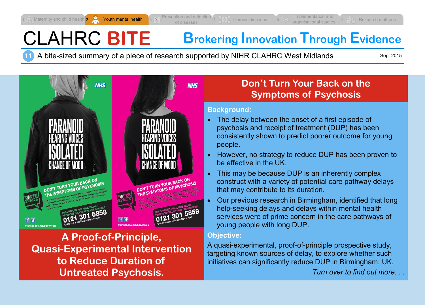# CLAHRC **BITE Brokering Innovation Through Evidence**

11 A bite-sized summary of a piece of research supported by NIHR CLAHRC West Midlands

Sept 2015



**A Proof-of-Principle, Quasi-Experimental Intervention to Reduce Duration of Untreated Psychosis.**

#### **Objective:**

A quasi-experimental, proof-of-principle prospective study, targeting known sources of delay, to explore whether such initiatives can significantly reduce DUP in Birmingham, UK.